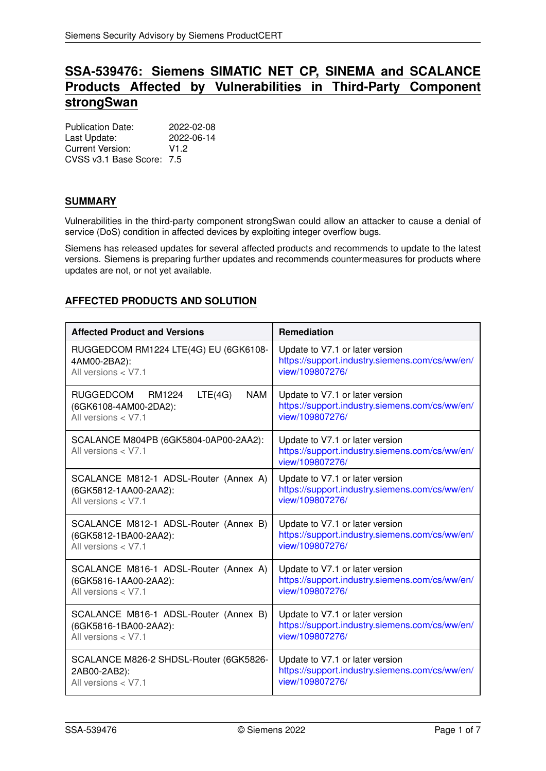# **SSA-539476: Siemens SIMATIC NET CP, SINEMA and SCALANCE Products Affected by Vulnerabilities in Third-Party Component strongSwan**

Publication Date: 2022-02-08<br>Last Undate: 2022-06-14 Last Update: Current Version: V1.2 CVSS v3.1 Base Score: 7.5

# **SUMMARY**

Vulnerabilities in the third-party component strongSwan could allow an attacker to cause a denial of service (DoS) condition in affected devices by exploiting integer overflow bugs.

Siemens has released updates for several affected products and recommends to update to the latest versions. Siemens is preparing further updates and recommends countermeasures for products where updates are not, or not yet available.

# <span id="page-0-0"></span>**AFFECTED PRODUCTS AND SOLUTION**

| <b>Affected Product and Versions</b>                                                        | <b>Remediation</b>                                                                                   |
|---------------------------------------------------------------------------------------------|------------------------------------------------------------------------------------------------------|
| RUGGEDCOM RM1224 LTE(4G) EU (6GK6108-                                                       | Update to V7.1 or later version                                                                      |
| 4AM00-2BA2):                                                                                | https://support.industry.siemens.com/cs/ww/en/                                                       |
| All versions $<$ V7.1                                                                       | view/109807276/                                                                                      |
| RUGGEDCOM RM1224<br><b>NAM</b><br>LTE(4G)<br>(6GK6108-4AM00-2DA2):<br>All versions $<$ V7.1 | Update to V7.1 or later version<br>https://support.industry.siemens.com/cs/ww/en/<br>view/109807276/ |
| SCALANCE M804PB (6GK5804-0AP00-2AA2):<br>All versions $<$ V7.1                              | Update to V7.1 or later version<br>https://support.industry.siemens.com/cs/ww/en/<br>view/109807276/ |
| SCALANCE M812-1 ADSL-Router (Annex A)                                                       | Update to V7.1 or later version                                                                      |
| (6GK5812-1AA00-2AA2):                                                                       | https://support.industry.siemens.com/cs/ww/en/                                                       |
| All versions < V7.1                                                                         | view/109807276/                                                                                      |
| SCALANCE M812-1 ADSL-Router (Annex B)                                                       | Update to V7.1 or later version                                                                      |
| (6GK5812-1BA00-2AA2):                                                                       | https://support.industry.siemens.com/cs/ww/en/                                                       |
| All versions < V7.1                                                                         | view/109807276/                                                                                      |
| SCALANCE M816-1 ADSL-Router (Annex A)                                                       | Update to V7.1 or later version                                                                      |
| (6GK5816-1AA00-2AA2):                                                                       | https://support.industry.siemens.com/cs/ww/en/                                                       |
| All versions $<$ V7.1                                                                       | view/109807276/                                                                                      |
| SCALANCE M816-1 ADSL-Router (Annex B)                                                       | Update to V7.1 or later version                                                                      |
| (6GK5816-1BA00-2AA2):                                                                       | https://support.industry.siemens.com/cs/ww/en/                                                       |
| All versions $<$ V7.1                                                                       | view/109807276/                                                                                      |
| SCALANCE M826-2 SHDSL-Router (6GK5826-                                                      | Update to V7.1 or later version                                                                      |
| 2AB00-2AB2):                                                                                | https://support.industry.siemens.com/cs/ww/en/                                                       |
| All versions < V7.1                                                                         | view/109807276/                                                                                      |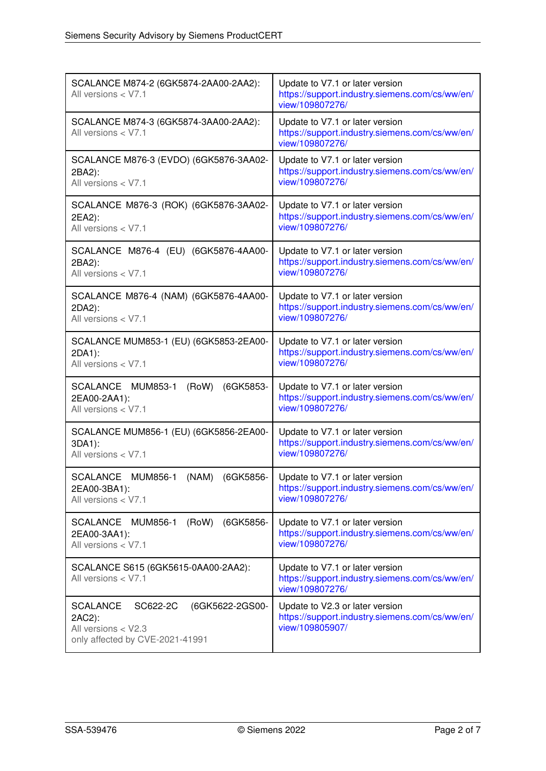| SCALANCE M874-2 (6GK5874-2AA00-2AA2):<br>All versions $<$ V7.1                                                     | Update to V7.1 or later version<br>https://support.industry.siemens.com/cs/ww/en/<br>view/109807276/ |
|--------------------------------------------------------------------------------------------------------------------|------------------------------------------------------------------------------------------------------|
| SCALANCE M874-3 (6GK5874-3AA00-2AA2):<br>All versions < V7.1                                                       | Update to V7.1 or later version<br>https://support.industry.siemens.com/cs/ww/en/<br>view/109807276/ |
| SCALANCE M876-3 (EVDO) (6GK5876-3AA02-<br>2BA2):<br>All versions < V7.1                                            | Update to V7.1 or later version<br>https://support.industry.siemens.com/cs/ww/en/<br>view/109807276/ |
| SCALANCE M876-3 (ROK) (6GK5876-3AA02-<br>2EA2):<br>All versions < V7.1                                             | Update to V7.1 or later version<br>https://support.industry.siemens.com/cs/ww/en/<br>view/109807276/ |
| SCALANCE M876-4 (EU) (6GK5876-4AA00-<br>2BA2):<br>All versions < V7.1                                              | Update to V7.1 or later version<br>https://support.industry.siemens.com/cs/ww/en/<br>view/109807276/ |
| SCALANCE M876-4 (NAM) (6GK5876-4AA00-<br>2DA2):<br>All versions < V7.1                                             | Update to V7.1 or later version<br>https://support.industry.siemens.com/cs/ww/en/<br>view/109807276/ |
| SCALANCE MUM853-1 (EU) (6GK5853-2EA00-<br>2DA1):<br>All versions $<$ V7.1                                          | Update to V7.1 or later version<br>https://support.industry.siemens.com/cs/ww/en/<br>view/109807276/ |
| SCALANCE MUM853-1<br>(RoW)<br>(6GK5853-<br>2EA00-2AA1):<br>All versions $<$ V7.1                                   | Update to V7.1 or later version<br>https://support.industry.siemens.com/cs/ww/en/<br>view/109807276/ |
| SCALANCE MUM856-1 (EU) (6GK5856-2EA00-<br>3DA1):<br>All versions < V7.1                                            | Update to V7.1 or later version<br>https://support.industry.siemens.com/cs/ww/en/<br>view/109807276/ |
| <b>SCALANCE</b><br><b>MUM856-1</b><br>(NAM)<br>(6GK5856-<br>2EA00-3BA1):<br>All versions < V7.1                    | Update to V7.1 or later version<br>https://support.industry.siemens.com/cs/ww/en/<br>view/109807276/ |
| SCALANCE MUM856-1<br>(RoW)<br>(6GK5856-<br>2EA00-3AA1):<br>All versions < V7.1                                     | Update to V7.1 or later version<br>https://support.industry.siemens.com/cs/ww/en/<br>view/109807276/ |
| SCALANCE S615 (6GK5615-0AA00-2AA2):<br>All versions $<$ V7.1                                                       | Update to V7.1 or later version<br>https://support.industry.siemens.com/cs/ww/en/<br>view/109807276/ |
| <b>SCALANCE</b><br>SC622-2C<br>(6GK5622-2GS00-<br>2AC2):<br>All versions < V2.3<br>only affected by CVE-2021-41991 | Update to V2.3 or later version<br>https://support.industry.siemens.com/cs/ww/en/<br>view/109805907/ |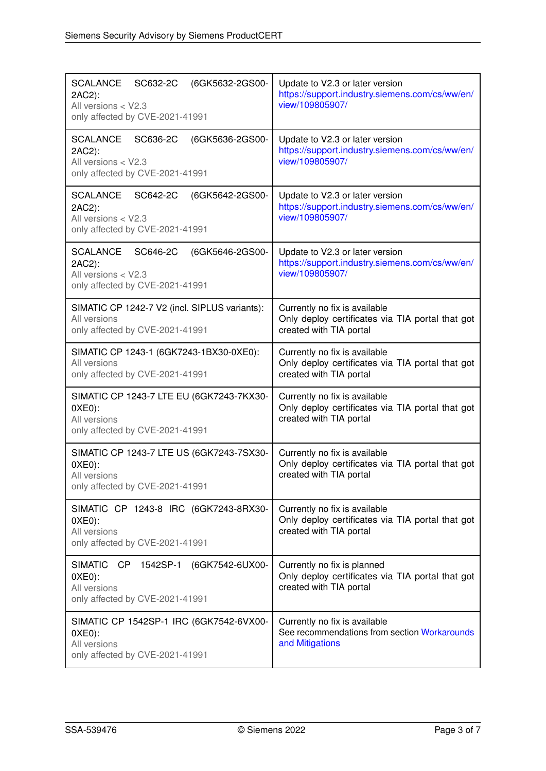| <b>SCALANCE</b><br>SC632-2C<br>(6GK5632-2GS00-<br>2AC2):<br>All versions $<$ V2.3<br>only affected by CVE-2021-41991 | Update to V2.3 or later version<br>https://support.industry.siemens.com/cs/ww/en/<br>view/109805907/         |
|----------------------------------------------------------------------------------------------------------------------|--------------------------------------------------------------------------------------------------------------|
| <b>SCALANCE</b><br>SC636-2C<br>(6GK5636-2GS00-<br>2AC2):<br>All versions < V2.3<br>only affected by CVE-2021-41991   | Update to V2.3 or later version<br>https://support.industry.siemens.com/cs/ww/en/<br>view/109805907/         |
| <b>SCALANCE</b><br>SC642-2C<br>(6GK5642-2GS00-<br>2AC2):<br>All versions < V2.3<br>only affected by CVE-2021-41991   | Update to V2.3 or later version<br>https://support.industry.siemens.com/cs/ww/en/<br>view/109805907/         |
| <b>SCALANCE</b><br>SC646-2C<br>(6GK5646-2GS00-<br>2AC2):<br>All versions < V2.3<br>only affected by CVE-2021-41991   | Update to V2.3 or later version<br>https://support.industry.siemens.com/cs/ww/en/<br>view/109805907/         |
| SIMATIC CP 1242-7 V2 (incl. SIPLUS variants):<br>All versions<br>only affected by CVE-2021-41991                     | Currently no fix is available<br>Only deploy certificates via TIA portal that got<br>created with TIA portal |
| SIMATIC CP 1243-1 (6GK7243-1BX30-0XE0):<br>All versions<br>only affected by CVE-2021-41991                           | Currently no fix is available<br>Only deploy certificates via TIA portal that got<br>created with TIA portal |
| SIMATIC CP 1243-7 LTE EU (6GK7243-7KX30-<br>$0XE0$ :<br>All versions<br>only affected by CVE-2021-41991              | Currently no fix is available<br>Only deploy certificates via TIA portal that got<br>created with TIA portal |
| SIMATIC CP 1243-7 LTE US (6GK7243-7SX30-<br>$0XE0$ :<br>All versions<br>only affected by CVE-2021-41991              | Currently no fix is available<br>Only deploy certificates via TIA portal that got<br>created with TIA portal |
| SIMATIC CP 1243-8 IRC (6GK7243-8RX30-<br>$0XE0$ :<br>All versions<br>only affected by CVE-2021-41991                 | Currently no fix is available<br>Only deploy certificates via TIA portal that got<br>created with TIA portal |
| SIMATIC CP 1542SP-1<br>(6GK7542-6UX00-<br>$0XE0$ :<br>All versions<br>only affected by CVE-2021-41991                | Currently no fix is planned<br>Only deploy certificates via TIA portal that got<br>created with TIA portal   |
| SIMATIC CP 1542SP-1 IRC (6GK7542-6VX00-<br>$0XE0$ :<br>All versions<br>only affected by CVE-2021-41991               | Currently no fix is available<br>See recommendations from section Workarounds<br>and Mitigations             |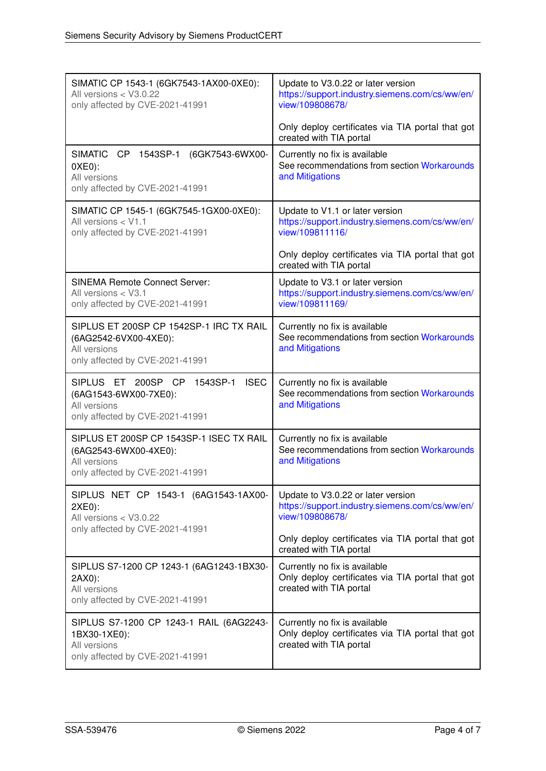| SIMATIC CP 1543-1 (6GK7543-1AX00-0XE0):<br>All versions < V3.0.22<br>only affected by CVE-2021-41991                      | Update to V3.0.22 or later version<br>https://support.industry.siemens.com/cs/ww/en/<br>view/109808678/<br>Only deploy certificates via TIA portal that got |
|---------------------------------------------------------------------------------------------------------------------------|-------------------------------------------------------------------------------------------------------------------------------------------------------------|
|                                                                                                                           | created with TIA portal                                                                                                                                     |
| SIMATIC CP 1543SP-1<br>(6GK7543-6WX00-<br>$0XE0$ :<br>All versions<br>only affected by CVE-2021-41991                     | Currently no fix is available<br>See recommendations from section Workarounds<br>and Mitigations                                                            |
| SIMATIC CP 1545-1 (6GK7545-1GX00-0XE0):<br>All versions < V1.1<br>only affected by CVE-2021-41991                         | Update to V1.1 or later version<br>https://support.industry.siemens.com/cs/ww/en/<br>view/109811116/                                                        |
|                                                                                                                           | Only deploy certificates via TIA portal that got<br>created with TIA portal                                                                                 |
| <b>SINEMA Remote Connect Server:</b><br>All versions < V3.1<br>only affected by CVE-2021-41991                            | Update to V3.1 or later version<br>https://support.industry.siemens.com/cs/ww/en/<br>view/109811169/                                                        |
| SIPLUS ET 200SP CP 1542SP-1 IRC TX RAIL<br>(6AG2542-6VX00-4XE0):<br>All versions<br>only affected by CVE-2021-41991       | Currently no fix is available<br>See recommendations from section Workarounds<br>and Mitigations                                                            |
| <b>ISEC</b><br>SIPLUS ET 200SP CP<br>1543SP-1<br>(6AG1543-6WX00-7XE0):<br>All versions<br>only affected by CVE-2021-41991 | Currently no fix is available<br>See recommendations from section Workarounds<br>and Mitigations                                                            |
| SIPLUS ET 200SP CP 1543SP-1 ISEC TX RAIL<br>(6AG2543-6WX00-4XE0):<br>All versions<br>only affected by CVE-2021-41991      | Currently no fix is available<br>See recommendations from section Workarounds<br>and Mitigations                                                            |
| SIPLUS NET CP 1543-1 (6AG1543-1AX00-<br>2XE0):<br>All versions < V3.0.22<br>only affected by CVE-2021-41991               | Update to V3.0.22 or later version<br>https://support.industry.siemens.com/cs/ww/en/<br>view/109808678/                                                     |
|                                                                                                                           | Only deploy certificates via TIA portal that got<br>created with TIA portal                                                                                 |
| SIPLUS S7-1200 CP 1243-1 (6AG1243-1BX30-<br>2AX0):<br>All versions<br>only affected by CVE-2021-41991                     | Currently no fix is available<br>Only deploy certificates via TIA portal that got<br>created with TIA portal                                                |
| SIPLUS S7-1200 CP 1243-1 RAIL (6AG2243-<br>1BX30-1XE0):<br>All versions<br>only affected by CVE-2021-41991                | Currently no fix is available<br>Only deploy certificates via TIA portal that got<br>created with TIA portal                                                |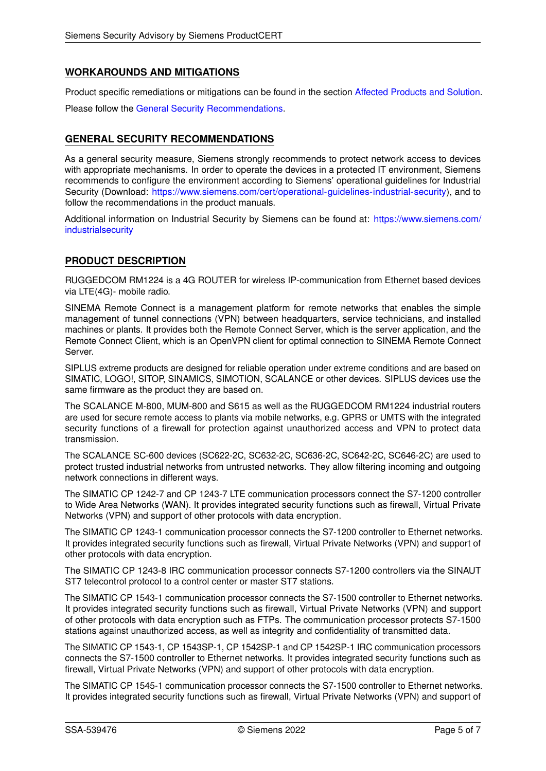# <span id="page-4-0"></span>**WORKAROUNDS AND MITIGATIONS**

Product specific remediations or mitigations can be found in the section [Affected Products and Solution.](#page-0-0) Please follow the [General Security Recommendations.](#page-4-1)

# <span id="page-4-1"></span>**GENERAL SECURITY RECOMMENDATIONS**

As a general security measure, Siemens strongly recommends to protect network access to devices with appropriate mechanisms. In order to operate the devices in a protected IT environment, Siemens recommends to configure the environment according to Siemens' operational guidelines for Industrial Security (Download: [https://www.siemens.com/cert/operational-guidelines-industrial-security\)](https://www.siemens.com/cert/operational-guidelines-industrial-security), and to follow the recommendations in the product manuals.

Additional information on Industrial Security by Siemens can be found at: [https://www.siemens.com/](https://www.siemens.com/industrialsecurity) [industrialsecurity](https://www.siemens.com/industrialsecurity)

# **PRODUCT DESCRIPTION**

RUGGEDCOM RM1224 is a 4G ROUTER for wireless IP-communication from Ethernet based devices via LTE(4G)- mobile radio.

SINEMA Remote Connect is a management platform for remote networks that enables the simple management of tunnel connections (VPN) between headquarters, service technicians, and installed machines or plants. It provides both the Remote Connect Server, which is the server application, and the Remote Connect Client, which is an OpenVPN client for optimal connection to SINEMA Remote Connect Server.

SIPLUS extreme products are designed for reliable operation under extreme conditions and are based on SIMATIC, LOGO!, SITOP, SINAMICS, SIMOTION, SCALANCE or other devices. SIPLUS devices use the same firmware as the product they are based on.

The SCALANCE M-800, MUM-800 and S615 as well as the RUGGEDCOM RM1224 industrial routers are used for secure remote access to plants via mobile networks, e.g. GPRS or UMTS with the integrated security functions of a firewall for protection against unauthorized access and VPN to protect data transmission.

The SCALANCE SC-600 devices (SC622-2C, SC632-2C, SC636-2C, SC642-2C, SC646-2C) are used to protect trusted industrial networks from untrusted networks. They allow filtering incoming and outgoing network connections in different ways.

The SIMATIC CP 1242-7 and CP 1243-7 LTE communication processors connect the S7-1200 controller to Wide Area Networks (WAN). It provides integrated security functions such as firewall, Virtual Private Networks (VPN) and support of other protocols with data encryption.

The SIMATIC CP 1243-1 communication processor connects the S7-1200 controller to Ethernet networks. It provides integrated security functions such as firewall, Virtual Private Networks (VPN) and support of other protocols with data encryption.

The SIMATIC CP 1243-8 IRC communication processor connects S7-1200 controllers via the SINAUT ST7 telecontrol protocol to a control center or master ST7 stations.

The SIMATIC CP 1543-1 communication processor connects the S7-1500 controller to Ethernet networks. It provides integrated security functions such as firewall, Virtual Private Networks (VPN) and support of other protocols with data encryption such as FTPs. The communication processor protects S7-1500 stations against unauthorized access, as well as integrity and confidentiality of transmitted data.

The SIMATIC CP 1543-1, CP 1543SP-1, CP 1542SP-1 and CP 1542SP-1 IRC communication processors connects the S7-1500 controller to Ethernet networks. It provides integrated security functions such as firewall, Virtual Private Networks (VPN) and support of other protocols with data encryption.

The SIMATIC CP 1545-1 communication processor connects the S7-1500 controller to Ethernet networks. It provides integrated security functions such as firewall, Virtual Private Networks (VPN) and support of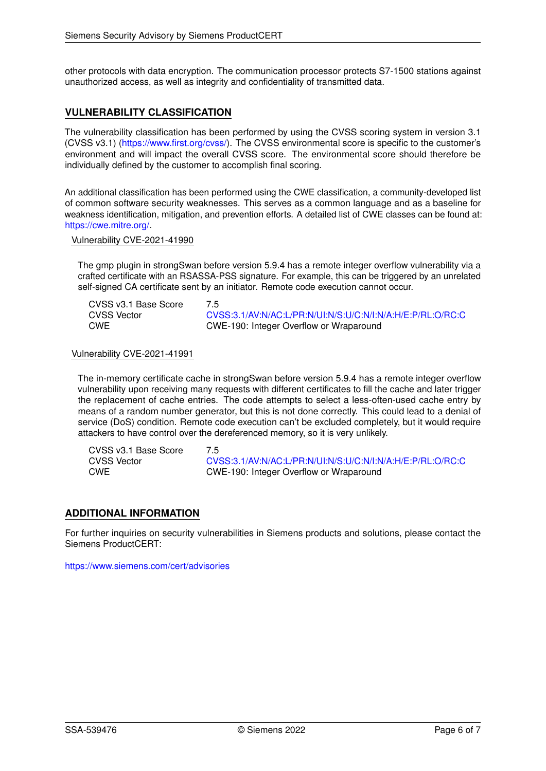other protocols with data encryption. The communication processor protects S7-1500 stations against unauthorized access, as well as integrity and confidentiality of transmitted data.

### **VULNERABILITY CLASSIFICATION**

The vulnerability classification has been performed by using the CVSS scoring system in version 3.1 (CVSS v3.1) [\(https://www.first.org/cvss/\)](https://www.first.org/cvss/). The CVSS environmental score is specific to the customer's environment and will impact the overall CVSS score. The environmental score should therefore be individually defined by the customer to accomplish final scoring.

An additional classification has been performed using the CWE classification, a community-developed list of common software security weaknesses. This serves as a common language and as a baseline for weakness identification, mitigation, and prevention efforts. A detailed list of CWE classes can be found at: [https://cwe.mitre.org/.](https://cwe.mitre.org/)

#### Vulnerability CVE-2021-41990

The gmp plugin in strongSwan before version 5.9.4 has a remote integer overflow vulnerability via a crafted certificate with an RSASSA-PSS signature. For example, this can be triggered by an unrelated self-signed CA certificate sent by an initiator. Remote code execution cannot occur.

| CVSS v3.1 Base Score | 7.5                                                        |
|----------------------|------------------------------------------------------------|
| CVSS Vector          | CVSS:3.1/AV:N/AC:L/PR:N/UI:N/S:U/C:N/I:N/A:H/E:P/RL:O/RC:C |
| CWE                  | CWE-190: Integer Overflow or Wraparound                    |

#### Vulnerability CVE-2021-41991

The in-memory certificate cache in strongSwan before version 5.9.4 has a remote integer overflow vulnerability upon receiving many requests with different certificates to fill the cache and later trigger the replacement of cache entries. The code attempts to select a less-often-used cache entry by means of a random number generator, but this is not done correctly. This could lead to a denial of service (DoS) condition. Remote code execution can't be excluded completely, but it would require attackers to have control over the dereferenced memory, so it is very unlikely.

| CVSS v3.1 Base Score | 75                                                         |
|----------------------|------------------------------------------------------------|
| CVSS Vector          | CVSS:3.1/AV:N/AC:L/PR:N/UI:N/S:U/C:N/I:N/A:H/E:P/RL:O/RC:C |
| CWE                  | CWE-190: Integer Overflow or Wraparound                    |

#### **ADDITIONAL INFORMATION**

For further inquiries on security vulnerabilities in Siemens products and solutions, please contact the Siemens ProductCERT:

<https://www.siemens.com/cert/advisories>